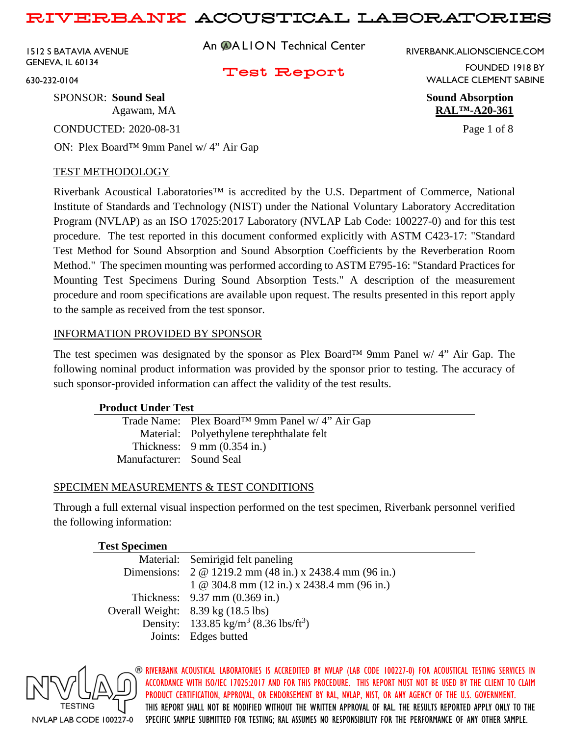1512 S BATAVIA AVENUE GENEVA, IL 60134

An **@ALION** Technical Center

RIVERBANK.ALIONSCIENCE.COM

### Test Report

FOUNDED 1918 BY WALLACE CLEMENT SABINE

Agawam, MA **RAL™-A20-361**

630-232-0104

SPONSOR: **Sound Seal Sound Absorption**

CONDUCTED: 2020-08-31 Page 1 of 8

ON: Plex Board™ 9mm Panel w/ 4" Air Gap

### TEST METHODOLOGY

Riverbank Acoustical Laboratories™ is accredited by the U.S. Department of Commerce, National Institute of Standards and Technology (NIST) under the National Voluntary Laboratory Accreditation Program (NVLAP) as an ISO 17025:2017 Laboratory (NVLAP Lab Code: 100227-0) and for this test procedure. The test reported in this document conformed explicitly with ASTM C423-17: "Standard Test Method for Sound Absorption and Sound Absorption Coefficients by the Reverberation Room Method." The specimen mounting was performed according to ASTM E795-16: "Standard Practices for Mounting Test Specimens During Sound Absorption Tests." A description of the measurement procedure and room specifications are available upon request. The results presented in this report apply to the sample as received from the test sponsor.

### INFORMATION PROVIDED BY SPONSOR

The test specimen was designated by the sponsor as Plex Board™ 9mm Panel w/ 4" Air Gap. The following nominal product information was provided by the sponsor prior to testing. The accuracy of such sponsor-provided information can affect the validity of the test results.

### **Product Under Test**

|                          | Trade Name: Plex Board <sup>TM</sup> 9mm Panel w/ 4" Air Gap |
|--------------------------|--------------------------------------------------------------|
|                          | Material: Polyethylene terephthalate felt                    |
|                          | Thickness: $9 \text{ mm} (0.354 \text{ in.})$                |
| Manufacturer: Sound Seal |                                                              |
|                          |                                                              |

### SPECIMEN MEASUREMENTS & TEST CONDITIONS

Through a full external visual inspection performed on the test specimen, Riverbank personnel verified the following information:

#### **Test Specimen** Material: Semirigid felt paneling Dimensions: 2 @ 1219.2 mm (48 in.) x 2438.4 mm (96 in.) 1 @ 304.8 mm (12 in.) x 2438.4 mm (96 in.) Thickness: 9.37 mm (0.369 in.) Overall Weight: 8.39 kg (18.5 lbs) Density: 133.85 kg/m<sup>3</sup> (8.36 lbs/ft<sup>3</sup>) Joints: Edges butted

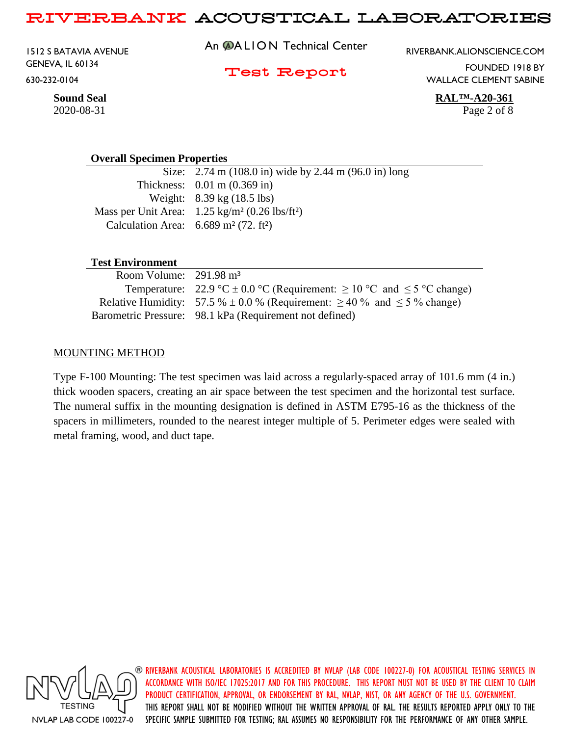1512 S BATAVIA AVENUE GENEVA, IL 60134 630-232-0104

An **@ALION** Technical Center

RIVERBANK.ALIONSCIENCE.COM

Test Report

FOUNDED 1918 BY WALLACE CLEMENT SABINE

**Sound Seal RAL™-A20-361**

#### **Overall Specimen Properties**

Size: 2.74 m (108.0 in) wide by 2.44 m (96.0 in) long Thickness: 0.01 m (0.369 in) Weight: 8.39 kg (18.5 lbs) Mass per Unit Area: 1.25 kg/m² (0.26 lbs/ft²) Calculation Area:  $6.689 \text{ m}^2$  (72. ft<sup>2</sup>)

#### **Test Environment**

| Room Volume: $291.98 \text{ m}^3$ |                                                                                        |
|-----------------------------------|----------------------------------------------------------------------------------------|
|                                   | Temperature: 22.9 °C $\pm$ 0.0 °C (Requirement: $\geq$ 10 °C and $\leq$ 5 °C change)   |
|                                   | Relative Humidity: 57.5 % $\pm$ 0.0 % (Requirement: $\geq$ 40 % and $\leq$ 5 % change) |
|                                   | Barometric Pressure: 98.1 kPa (Requirement not defined)                                |

#### MOUNTING METHOD

Type F-100 Mounting: The test specimen was laid across a regularly-spaced array of 101.6 mm (4 in.) thick wooden spacers, creating an air space between the test specimen and the horizontal test surface. The numeral suffix in the mounting designation is defined in ASTM E795-16 as the thickness of the spacers in millimeters, rounded to the nearest integer multiple of 5. Perimeter edges were sealed with metal framing, wood, and duct tape.



RIVERBANK ACOUSTICAL LABORATORIES IS ACCREDITED BY NVLAP (LAB CODE 100227-0) FOR ACOUSTICAL TESTING SERVICES IN ACCORDANCE WITH ISO/IEC 17025:2017 AND FOR THIS PROCEDURE. THIS REPORT MUST NOT BE USED BY THE CLIENT TO CLAIM PRODUCT CERTIFICATION, APPROVAL, OR ENDORSEMENT BY RAL, NVLAP, NIST, OR ANY AGENCY OF THE U.S. GOVERNMENT. THIS REPORT SHALL NOT BE MODIFIED WITHOUT THE WRITTEN APPROVAL OF RAL. THE RESULTS REPORTED APPLY ONLY TO THE SPECIFIC SAMPLE SUBMITTED FOR TESTING; RAL ASSUMES NO RESPONSIBILITY FOR THE PERFORMANCE OF ANY OTHER SAMPLE.

2020-08-31 Page 2 of 8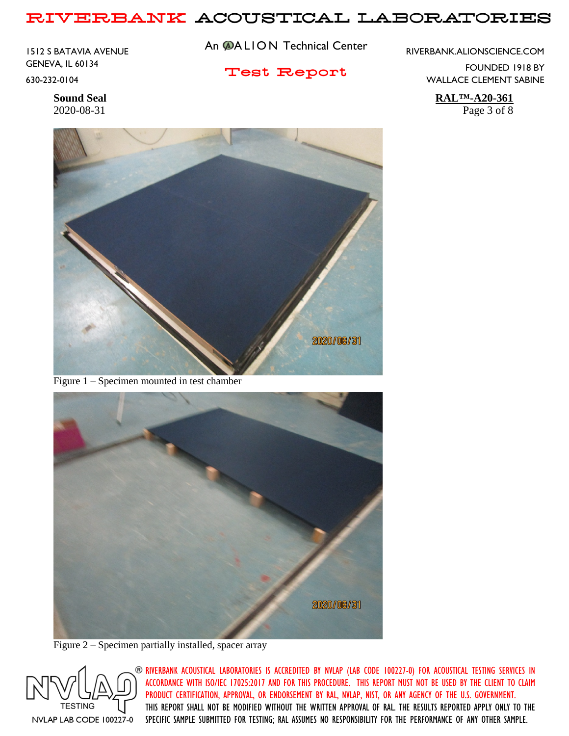1512 S BATAVIA AVENUE GENEVA, IL 60134 630-232-0104

An **@ALION** Technical Center

Test Report

RIVERBANK.ALIONSCIENCE.COM

FOUNDED 1918 BY WALLACE CLEMENT SABINE

**Sound Seal RAL™-A20-361** 2020-08-31 Page 3 of 8



Figure 1 – Specimen mounted in test chamber



Figure 2 – Specimen partially installed, spacer array

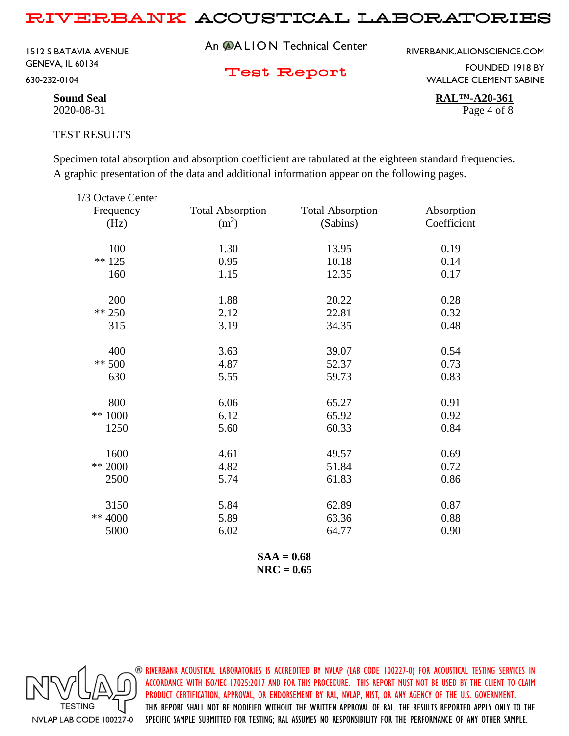1512 S BATAVIA AVENUE GENEVA, IL 60134 630-232-0104

An **@ALION** Technical Center

RIVERBANK.ALIONSCIENCE.COM

Test Report

FOUNDED 1918 BY WALLACE CLEMENT SABINE

**Sound Seal RAL™-A20-361** 2020-08-31 Page 4 of 8

#### TEST RESULTS

Specimen total absorption and absorption coefficient are tabulated at the eighteen standard frequencies. A graphic presentation of the data and additional information appear on the following pages.

| 1/3 Octave Center |                         |                         |             |
|-------------------|-------------------------|-------------------------|-------------|
| Frequency         | <b>Total Absorption</b> | <b>Total Absorption</b> | Absorption  |
| (Hz)              | (m <sup>2</sup> )       | (Sabins)                | Coefficient |
| 100               | 1.30                    | 13.95                   | 0.19        |
| $** 125$          | 0.95                    | 10.18                   | 0.14        |
| 160               | 1.15                    | 12.35                   | 0.17        |
| 200               | 1.88                    | 20.22                   | 0.28        |
| $** 250$          | 2.12                    | 22.81                   | 0.32        |
| 315               | 3.19                    | 34.35                   | 0.48        |
| 400               | 3.63                    | 39.07                   | 0.54        |
| $** 500$          | 4.87                    | 52.37                   | 0.73        |
| 630               | 5.55                    | 59.73                   | 0.83        |
| 800               | 6.06                    | 65.27                   | 0.91        |
| ** 1000           | 6.12                    | 65.92                   | 0.92        |
| 1250              | 5.60                    | 60.33                   | 0.84        |
| 1600              | 4.61                    | 49.57                   | 0.69        |
| ** 2000           | 4.82                    | 51.84                   | 0.72        |
| 2500              | 5.74                    | 61.83                   | 0.86        |
| 3150              | 5.84                    | 62.89                   | 0.87        |
| ** 4000           | 5.89                    | 63.36                   | 0.88        |
| 5000              | 6.02                    | 64.77                   | 0.90        |
|                   |                         |                         |             |

**SAA = 0.68 NRC = 0.65**

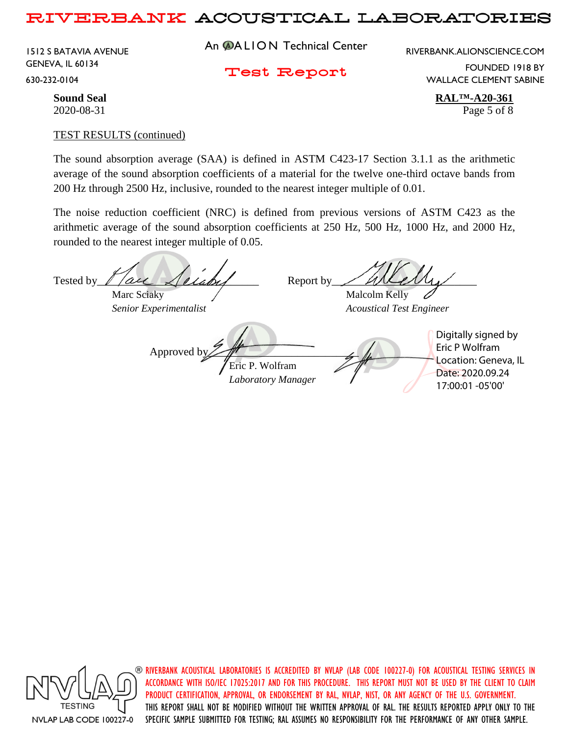1512 S BATAVIA AVENUE GENEVA, IL 60134 630-232-0104

An **@ALION** Technical Center

RIVERBANK.ALIONSCIENCE.COM

Test Report

FOUNDED 1918 BY WALLACE CLEMENT SABINE

**Sound Seal RAL™-A20-361** 2020-08-31 Page 5 of 8

#### TEST RESULTS (continued)

The sound absorption average (SAA) is defined in ASTM C423-17 Section 3.1.1 as the arithmetic average of the sound absorption coefficients of a material for the twelve one-third octave bands from 200 Hz through 2500 Hz, inclusive, rounded to the nearest integer multiple of 0.01.

The noise reduction coefficient (NRC) is defined from previous versions of ASTM C423 as the arithmetic average of the sound absorption coefficients at 250 Hz, 500 Hz, 1000 Hz, and 2000 Hz, rounded to the nearest integer multiple of 0.05.

Tested by  $\ell$  /all  $\lambda$  ellaby Report by / Will  $\ell$ Marc Sciaky  $\sqrt{M}$  Malcolm Kelly *Senior Experimentalist Acoustical Test Engineer* Approved b Eric P. Wolfram *Laboratory Manager* Digitally signed by Eric P Wolfram Location: Geneva, IL Date: 2020.09.24 17:00:01 -05'00'



 $\circledast$  riverbank acoustical laboratories is accredited by nylap (lab code 100227-0) for acoustical testing services in ACCORDANCE WITH ISO/IEC 17025:2017 AND FOR THIS PROCEDURE. THIS REPORT MUST NOT BE USED BY THE CLIENT TO CLAIM PRODUCT CERTIFICATION, APPROVAL, OR ENDORSEMENT BY RAL, NVLAP, NIST, OR ANY AGENCY OF THE U.S. GOVERNMENT. THIS REPORT SHALL NOT BE MODIFIED WITHOUT THE WRITTEN APPROVAL OF RAL. THE RESULTS REPORTED APPLY ONLY TO THE SPECIFIC SAMPLE SUBMITTED FOR TESTING; RAL ASSUMES NO RESPONSIBILITY FOR THE PERFORMANCE OF ANY OTHER SAMPLE.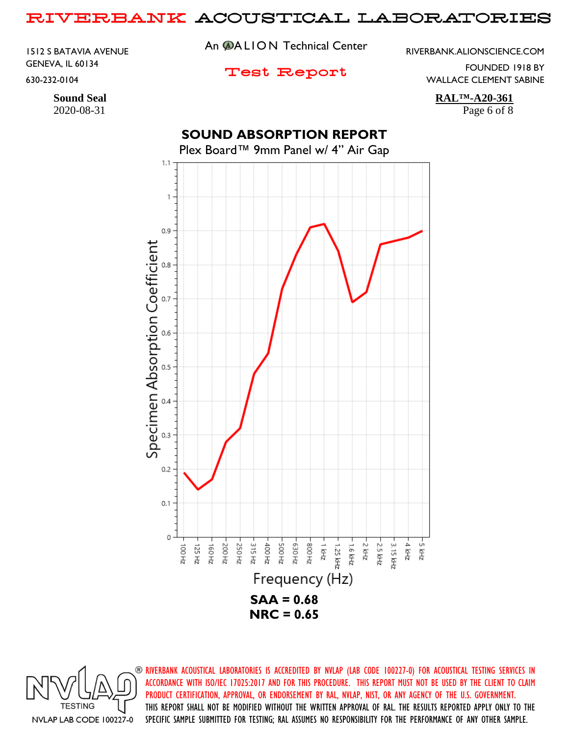1512 S BATAVIA AVENUE GENEVA, IL 60134 630-232-0104

## An **@ALION** Technical Center

RIVERBANK.ALIONSCIENCE.COM

### Test Report

FOUNDED 1918 BY

WALLACE CLEMENT SABINE

**Sound Seal RAL™-A20-361**

2020-08-31 Page 6 of 8

# **SOUND ABSORPTION REPORT**

Plex Board™ 9mm Panel w/ 4" Air Gap



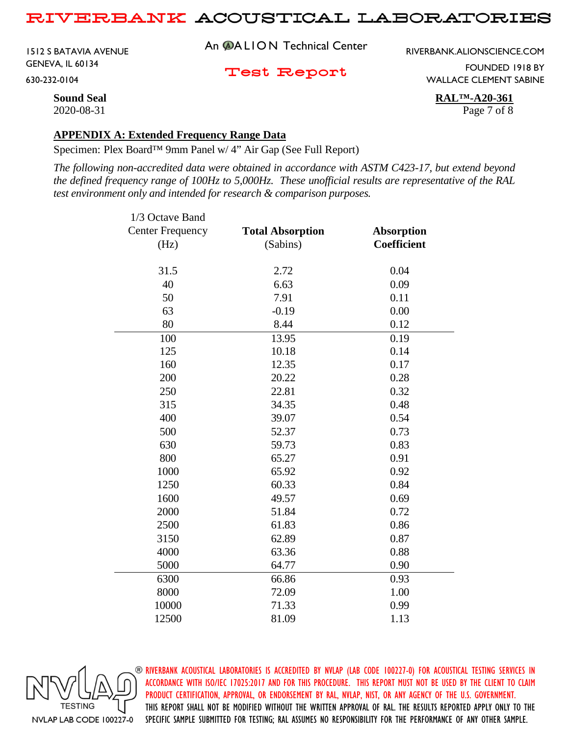1512 S BATAVIA AVENUE GENEVA, IL 60134 630-232-0104

An **@ALION** Technical Center

RIVERBANK.ALIONSCIENCE.COM

Test Report

FOUNDED 1918 BY WALLACE CLEMENT SABINE

**Sound Seal RAL™-A20-361** 2020-08-31 Page 7 of 8

#### **APPENDIX A: Extended Frequency Range Data**

Specimen: Plex Board™ 9mm Panel w/ 4" Air Gap (See Full Report)

*The following non-accredited data were obtained in accordance with ASTM C423-17, but extend beyond the defined frequency range of 100Hz to 5,000Hz. These unofficial results are representative of the RAL test environment only and intended for research & comparison purposes.* 

| 1/3 Octave Band         |                         |                   |
|-------------------------|-------------------------|-------------------|
| <b>Center Frequency</b> | <b>Total Absorption</b> | <b>Absorption</b> |
| (Hz)                    | (Sabins)                | Coefficient       |
| 31.5                    | 2.72                    | 0.04              |
| 40                      | 6.63                    | 0.09              |
| 50                      | 7.91                    | 0.11              |
| 63                      | $-0.19$                 | 0.00              |
| 80                      | 8.44                    | 0.12              |
| 100                     | 13.95                   | 0.19              |
| 125                     | 10.18                   | 0.14              |
| 160                     | 12.35                   | 0.17              |
| 200                     | 20.22                   | 0.28              |
| 250                     | 22.81                   | 0.32              |
| 315                     | 34.35                   | 0.48              |
| 400                     | 39.07                   | 0.54              |
| 500                     | 52.37                   | 0.73              |
| 630                     | 59.73                   | 0.83              |
| 800                     | 65.27                   | 0.91              |
| 1000                    | 65.92                   | 0.92              |
| 1250                    | 60.33                   | 0.84              |
| 1600                    | 49.57                   | 0.69              |
| 2000                    | 51.84                   | 0.72              |
| 2500                    | 61.83                   | 0.86              |
| 3150                    | 62.89                   | 0.87              |
| 4000                    | 63.36                   | 0.88              |
| 5000                    | 64.77                   | 0.90              |
| 6300                    | 66.86                   | 0.93              |
| 8000                    | 72.09                   | 1.00              |
| 10000                   | 71.33                   | 0.99              |
| 12500                   | 81.09                   | 1.13              |